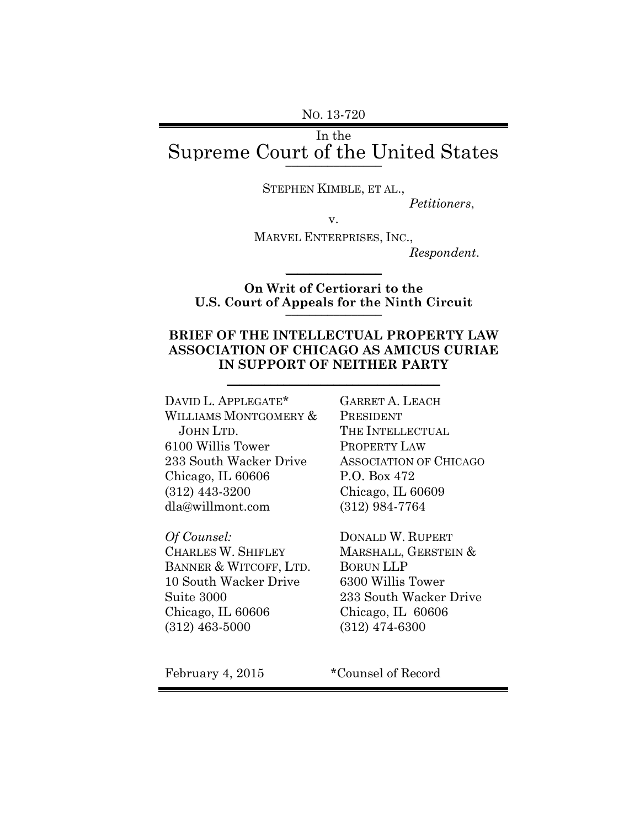NO. 13-720

# In the Supreme Court of the United States **\_\_\_\_\_\_\_\_\_\_\_\_\_\_\_\_**

STEPHEN KIMBLE, ET AL.,

*Petitioners*,

v.

MARVEL ENTERPRISES, INC.,

*Respondent*.

## **On Writ of Certiorari to the U.S. Court of Appeals for the Ninth Circuit** \_\_\_\_\_\_\_\_\_\_\_\_\_\_\_\_

 $\mathcal{L}$  , we have the set of  $\mathcal{L}$ 

### **BRIEF OF THE INTELLECTUAL PROPERTY LAW ASSOCIATION OF CHICAGO AS AMICUS CURIAE IN SUPPORT OF NEITHER PARTY**

 $\mathcal{L}_\mathcal{L}$  , where  $\mathcal{L}_\mathcal{L}$  , we have the set of the set of the set of the set of the set of the set of the set of the set of the set of the set of the set of the set of the set of the set of the set of the set

DAVID L. APPLEGATE\* WILLIAMS MONTGOMERY & JOHN LTD. 6100 Willis Tower 233 South Wacker Drive Chicago, IL 60606 (312) 443-3200 dla@willmont.com

*Of Counsel:* CHARLES W. SHIFLEY BANNER & WITCOFF, LTD. 10 South Wacker Drive Suite 3000 Chicago, IL 60606 (312) 463-5000

GARRET A. LEACH PRESIDENT THE INTELLECTUAL PROPERTY LAW ASSOCIATION OF CHICAGO P.O. Box 472 Chicago, IL 60609 (312) 984-7764

DONALD W. RUPERT MARSHALL, GERSTEIN & BORUN LLP 6300 Willis Tower 233 South Wacker Drive Chicago, IL 60606 (312) 474-6300

February 4, 2015 \* Counsel of Record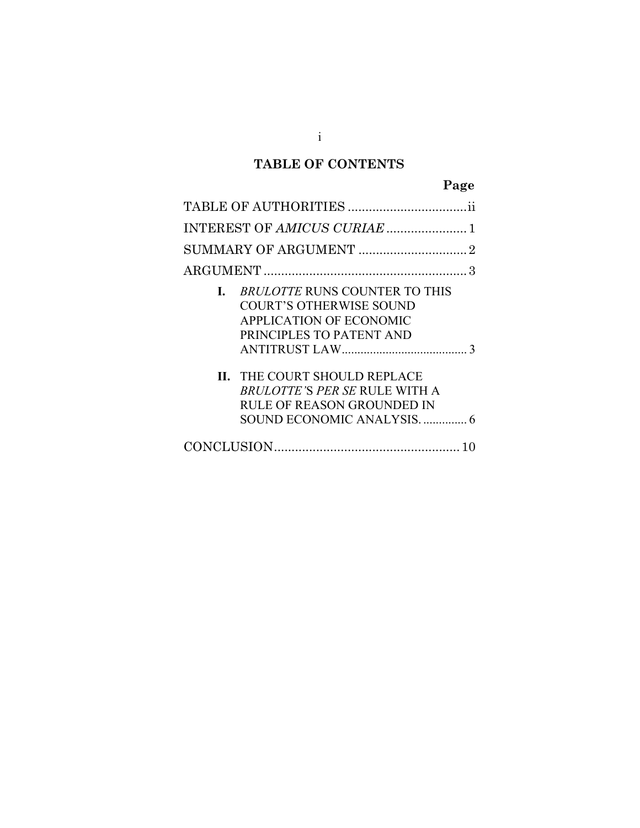## **TABLE OF CONTENTS**

# **Page**

| <b>BRULOTTE RUNS COUNTER TO THIS</b><br>L.<br><b>COURT'S OTHERWISE SOUND</b><br><b>APPLICATION OF ECONOMIC</b><br>PRINCIPLES TO PATENT AND |
|--------------------------------------------------------------------------------------------------------------------------------------------|
| <b>II. THE COURT SHOULD REPLACE</b><br>BRULOTTE'S PER SE RULE WITH A<br><b>RULE OF REASON GROUNDED IN</b>                                  |
|                                                                                                                                            |

 $i$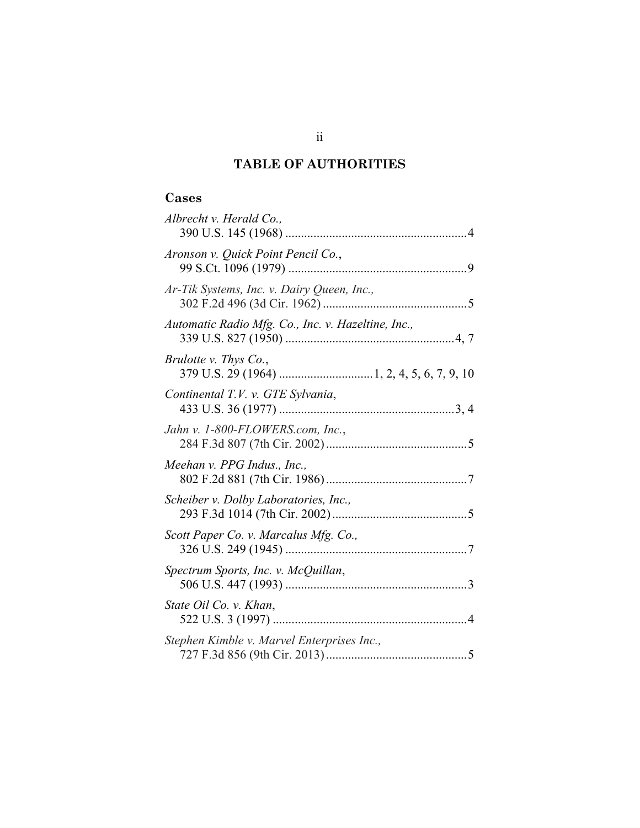## **TABLE OF AUTHORITIES**

#### **Cases**

| Albrecht v. Herald Co.,                            |
|----------------------------------------------------|
| Aronson v. Quick Point Pencil Co.,                 |
| Ar-Tik Systems, Inc. v. Dairy Queen, Inc.,         |
| Automatic Radio Mfg. Co., Inc. v. Hazeltine, Inc., |
| Brulotte v. Thys Co.,                              |
| Continental T.V. v. GTE Sylvania,                  |
| Jahn v. 1-800-FLOWERS.com, Inc.,                   |
| Meehan v. PPG Indus., Inc.,                        |
| Scheiber v. Dolby Laboratories, Inc.,              |
| Scott Paper Co. v. Marcalus Mfg. Co.,              |
| Spectrum Sports, Inc. v. McQuillan,                |
| State Oil Co. v. Khan,                             |
| Stephen Kimble v. Marvel Enterprises Inc.,         |

ii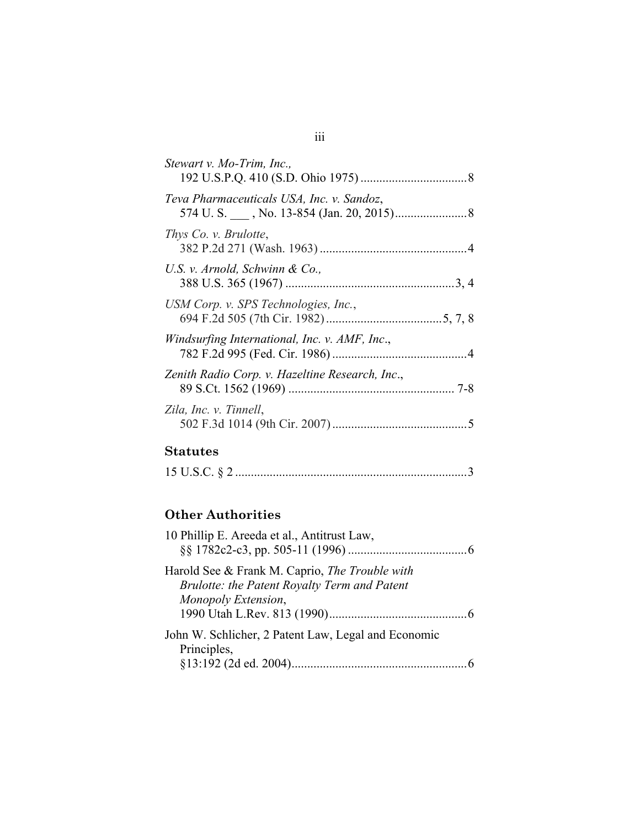| Stewart v. Mo-Trim, Inc.,                       |
|-------------------------------------------------|
| Teva Pharmaceuticals USA, Inc. v. Sandoz,       |
| Thys Co. v. Brulotte,                           |
| U.S. v. Arnold, Schwinn & Co.,                  |
| USM Corp. v. SPS Technologies, Inc.,            |
| Windsurfing International, Inc. v. AMF, Inc.,   |
| Zenith Radio Corp. v. Hazeltine Research, Inc., |
| Zila, Inc. v. Tinnell,                          |

## **Statutes**

|--|--|--|

## **Other Authorities**

| 10 Phillip E. Areeda et al., Antitrust Law,                                                                           |  |
|-----------------------------------------------------------------------------------------------------------------------|--|
| Harold See & Frank M. Caprio, The Trouble with<br>Brulotte: the Patent Royalty Term and Patent<br>Monopoly Extension, |  |
|                                                                                                                       |  |
| John W. Schlicher, 2 Patent Law, Legal and Economic<br>Principles,                                                    |  |
|                                                                                                                       |  |

### iii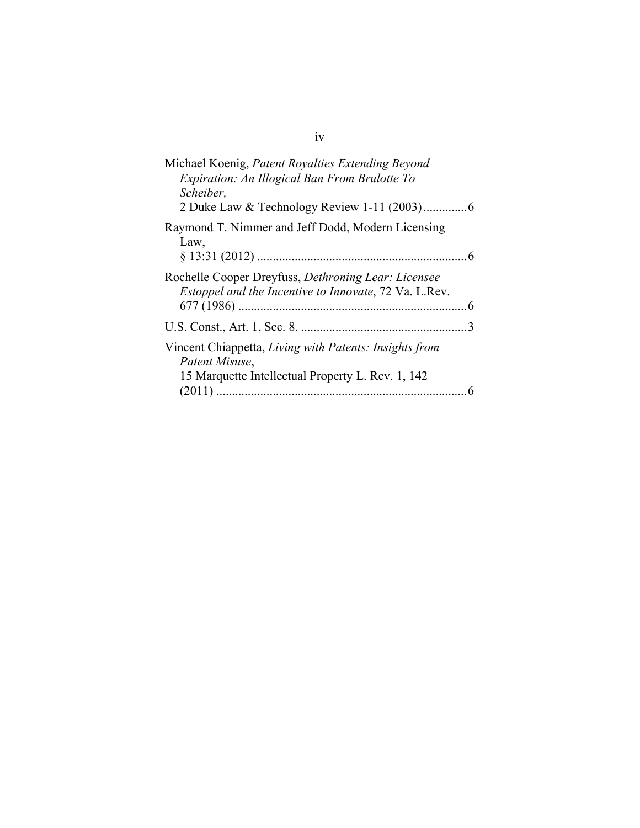| Michael Koenig, Patent Royalties Extending Beyond<br>Expiration: An Illogical Ban From Brulotte To<br>Scheiber,               |
|-------------------------------------------------------------------------------------------------------------------------------|
| Raymond T. Nimmer and Jeff Dodd, Modern Licensing<br>Law,                                                                     |
| Rochelle Cooper Dreyfuss, Dethroning Lear: Licensee<br>Estoppel and the Incentive to Innovate, 72 Va. L.Rev.                  |
| 3                                                                                                                             |
| Vincent Chiappetta, Living with Patents: Insights from<br>Patent Misuse,<br>15 Marquette Intellectual Property L. Rev. 1, 142 |

iv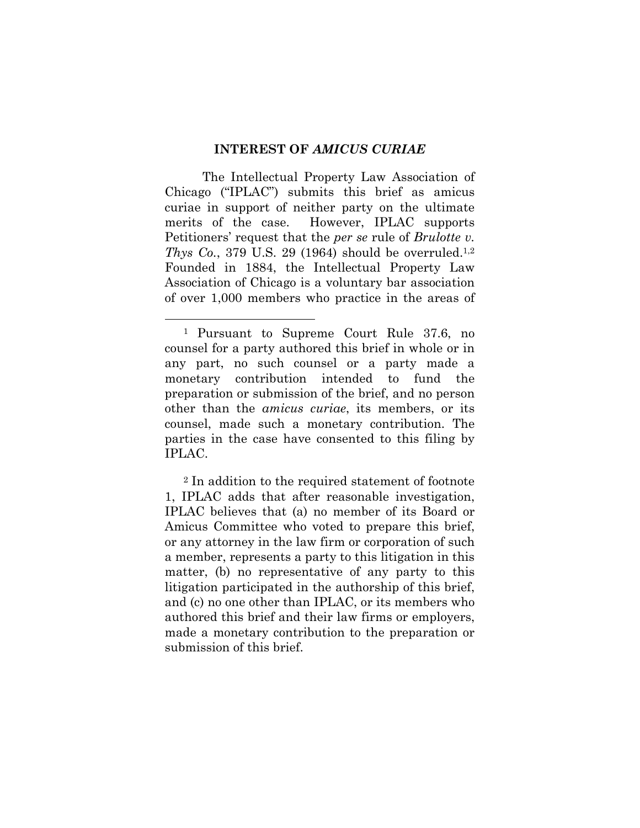#### **INTEREST OF** *AMICUS CURIAE*

The Intellectual Property Law Association of Chicago ("IPLAC") submits this brief as amicus curiae in support of neither party on the ultimate merits of the case. However, IPLAC supports Petitioners' request that the *per se* rule of *Brulotte v. Thys Co.*, 379 U.S. 29 (1964) should be overruled.<sup>1,2</sup> Founded in 1884, the Intellectual Property Law Association of Chicago is a voluntary bar association of over 1,000 members who practice in the areas of

<sup>2</sup> In addition to the required statement of footnote 1, IPLAC adds that after reasonable investigation, IPLAC believes that (a) no member of its Board or Amicus Committee who voted to prepare this brief, or any attorney in the law firm or corporation of such a member, represents a party to this litigation in this matter, (b) no representative of any party to this litigation participated in the authorship of this brief, and (c) no one other than IPLAC, or its members who authored this brief and their law firms or employers, made a monetary contribution to the preparation or submission of this brief.

 <sup>1</sup> Pursuant to Supreme Court Rule 37.6, no counsel for a party authored this brief in whole or in any part, no such counsel or a party made a monetary contribution intended to fund the preparation or submission of the brief, and no person other than the *amicus curiae*, its members, or its counsel, made such a monetary contribution. The parties in the case have consented to this filing by IPLAC.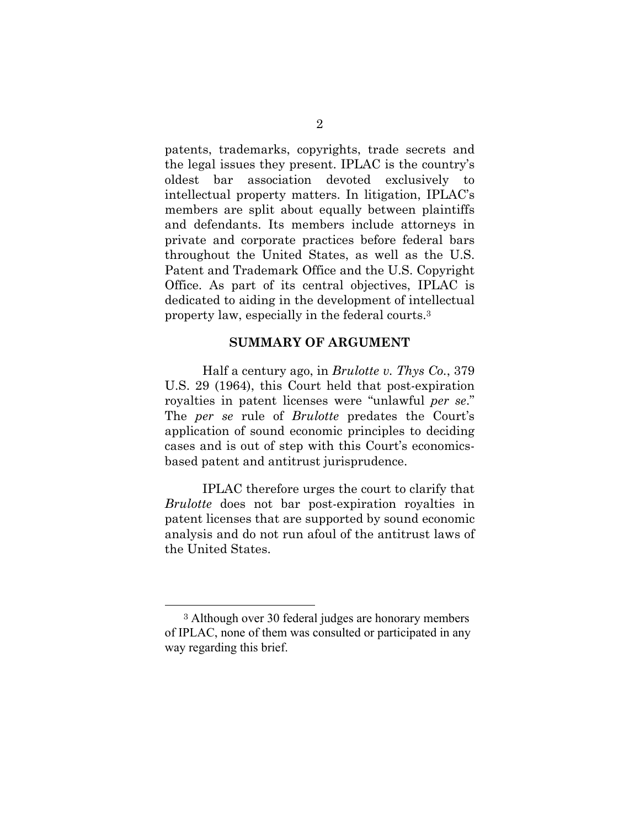patents, trademarks, copyrights, trade secrets and the legal issues they present. IPLAC is the country's oldest bar association devoted exclusively to intellectual property matters. In litigation, IPLAC's members are split about equally between plaintiffs and defendants. Its members include attorneys in private and corporate practices before federal bars throughout the United States, as well as the U.S. Patent and Trademark Office and the U.S. Copyright Office. As part of its central objectives, IPLAC is dedicated to aiding in the development of intellectual property law, especially in the federal courts.3

#### **SUMMARY OF ARGUMENT**

Half a century ago, in *Brulotte v. Thys Co.*, 379 U.S. 29 (1964), this Court held that post-expiration royalties in patent licenses were "unlawful *per se*." The *per se* rule of *Brulotte* predates the Court's application of sound economic principles to deciding cases and is out of step with this Court's economicsbased patent and antitrust jurisprudence.

IPLAC therefore urges the court to clarify that *Brulotte* does not bar post-expiration royalties in patent licenses that are supported by sound economic analysis and do not run afoul of the antitrust laws of the United States.

 <sup>3</sup> Although over 30 federal judges are honorary members of IPLAC, none of them was consulted or participated in any way regarding this brief.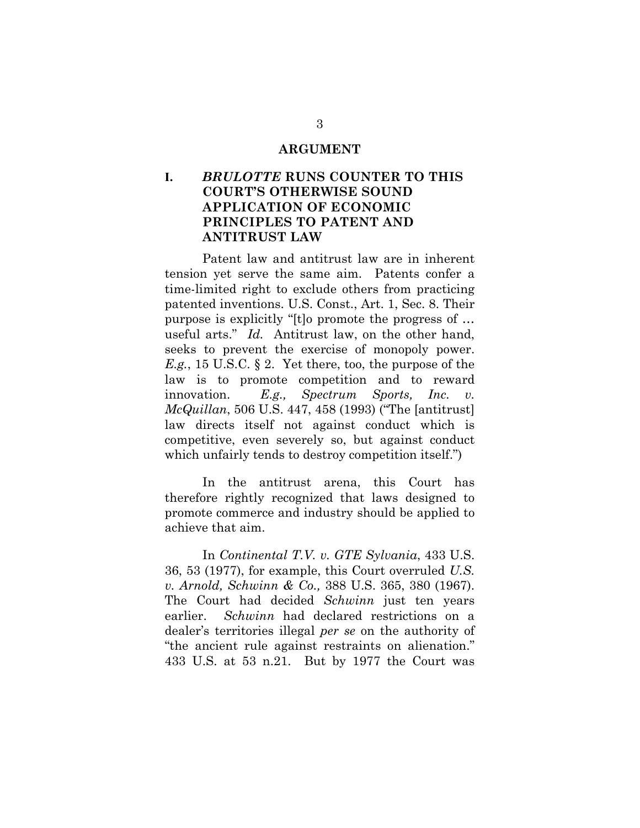#### **ARGUMENT**

### **I.** *BRULOTTE* **RUNS COUNTER TO THIS COURT'S OTHERWISE SOUND APPLICATION OF ECONOMIC PRINCIPLES TO PATENT AND ANTITRUST LAW**

Patent law and antitrust law are in inherent tension yet serve the same aim. Patents confer a time-limited right to exclude others from practicing patented inventions. U.S. Const., Art. 1, Sec. 8. Their purpose is explicitly "[t]o promote the progress of … useful arts." *Id.* Antitrust law, on the other hand, seeks to prevent the exercise of monopoly power. *E.g.*, 15 U.S.C. § 2. Yet there, too, the purpose of the law is to promote competition and to reward innovation. *E.g., Spectrum Sports, Inc. v. McQuillan*, 506 U.S. 447, 458 (1993) ("The [antitrust] law directs itself not against conduct which is competitive, even severely so, but against conduct which unfairly tends to destroy competition itself.")

In the antitrust arena, this Court has therefore rightly recognized that laws designed to promote commerce and industry should be applied to achieve that aim.

In *Continental T.V. v. GTE Sylvania*, 433 U.S. 36, 53 (1977), for example, this Court overruled *U.S. v. Arnold, Schwinn & Co.,* 388 U.S. 365, 380 (1967). The Court had decided *Schwinn* just ten years earlier. *Schwinn* had declared restrictions on a dealer's territories illegal *per se* on the authority of "the ancient rule against restraints on alienation." 433 U.S. at 53 n.21. But by 1977 the Court was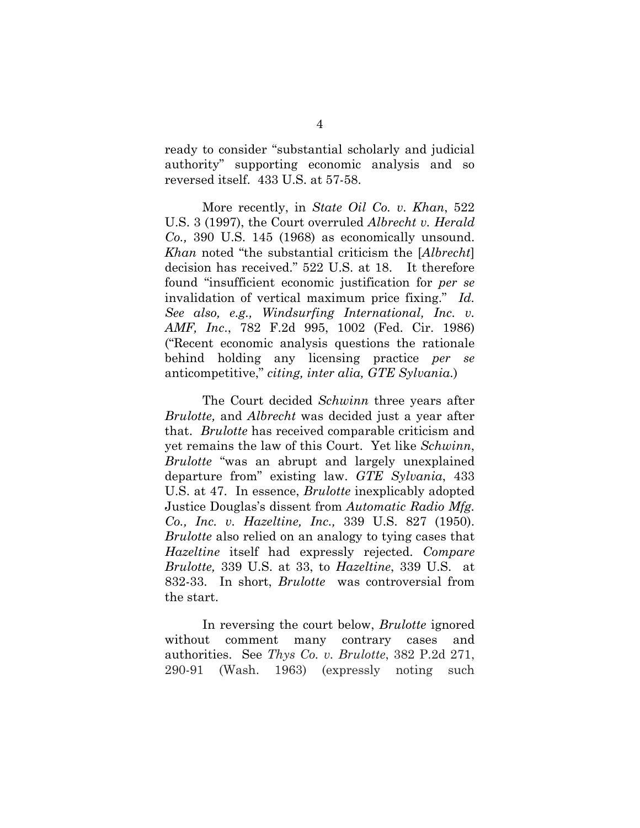ready to consider "substantial scholarly and judicial authority" supporting economic analysis and so reversed itself. 433 U.S. at 57-58.

More recently, in *State Oil Co. v. Khan*, 522 U.S. 3 (1997), the Court overruled *Albrecht v. Herald Co.,* 390 U.S. 145 (1968) as economically unsound. *Khan* noted "the substantial criticism the [*Albrecht*] decision has received." 522 U.S. at 18. It therefore found "insufficient economic justification for *per se* invalidation of vertical maximum price fixing." *Id. See also, e.g., Windsurfing International, Inc. v. AMF, Inc*., 782 F.2d 995, 1002 (Fed. Cir. 1986) ("Recent economic analysis questions the rationale behind holding any licensing practice *per se* anticompetitive," *citing, inter alia, GTE Sylvania*.)

The Court decided *Schwinn* three years after *Brulotte,* and *Albrecht* was decided just a year after that. *Brulotte* has received comparable criticism and yet remains the law of this Court. Yet like *Schwinn*, *Brulotte* "was an abrupt and largely unexplained departure from" existing law. *GTE Sylvania*, 433 U.S. at 47. In essence, *Brulotte* inexplicably adopted Justice Douglas's dissent from *Automatic Radio Mfg. Co., Inc. v. Hazeltine, Inc.,* 339 U.S. 827 (1950). *Brulotte* also relied on an analogy to tying cases that *Hazeltine* itself had expressly rejected. *Compare Brulotte,* 339 U.S. at 33, to *Hazeltine*, 339 U.S. at 832-33. In short, *Brulotte* was controversial from the start.

In reversing the court below, *Brulotte* ignored without comment many contrary cases and authorities. See *Thys Co. v. Brulotte*, 382 P.2d 271, 290-91 (Wash. 1963) (expressly noting such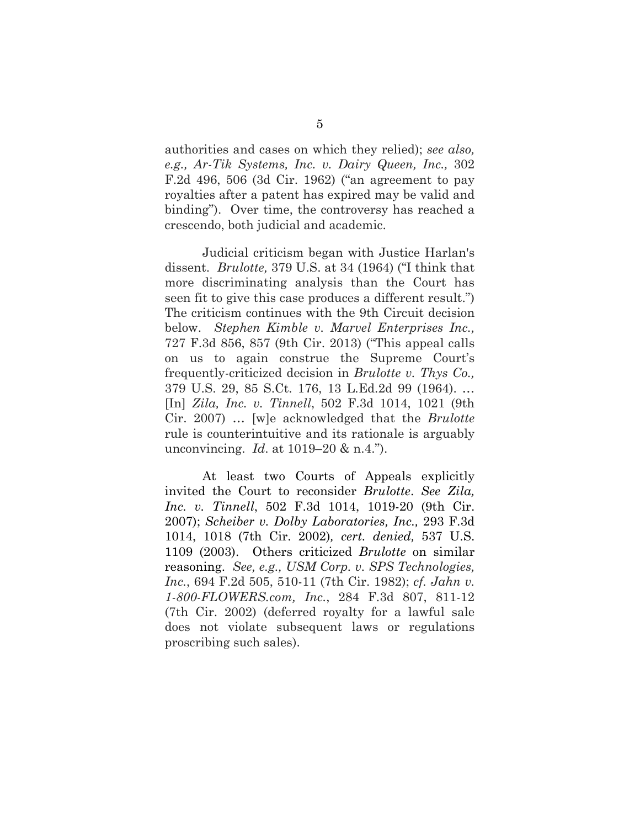authorities and cases on which they relied); *see also, e.g., Ar-Tik Systems, Inc. v. Dairy Queen, Inc.,* 302 F.2d 496, 506 (3d Cir. 1962) ("an agreement to pay royalties after a patent has expired may be valid and binding"). Over time, the controversy has reached a crescendo, both judicial and academic.

Judicial criticism began with Justice Harlan's dissent. *Brulotte,* 379 U.S. at 34 (1964) ("I think that more discriminating analysis than the Court has seen fit to give this case produces a different result.") The criticism continues with the 9th Circuit decision below. *Stephen Kimble v. Marvel Enterprises Inc.,* 727 F.3d 856, 857 (9th Cir. 2013) ("This appeal calls on us to again construe the Supreme Court's frequently-criticized decision in *Brulotte v. Thys Co.,* 379 U.S. 29, 85 S.Ct. 176, 13 L.Ed.2d 99 (1964). … [In] *Zila, Inc. v. Tinnell*, 502 F.3d 1014, 1021 (9th Cir. 2007) … [w]e acknowledged that the *Brulotte* rule is counterintuitive and its rationale is arguably unconvincing. *Id*. at 1019–20 & n.4.").

At least two Courts of Appeals explicitly invited the Court to reconsider *Brulotte*. *See Zila, Inc. v. Tinnell*, 502 F.3d 1014, 1019-20 (9th Cir. 2007); *Scheiber v. Dolby Laboratories, Inc.,* 293 F.3d 1014, 1018 (7th Cir. 2002)*, cert. denied,* 537 U.S. 1109 (2003). Others criticized *Brulotte* on similar reasoning. *See, e.g., USM Corp. v. SPS Technologies, Inc.*, 694 F.2d 505, 510-11 (7th Cir. 1982); *cf. Jahn v. 1-800-FLOWERS.com, Inc.*, 284 F.3d 807, 811-12 (7th Cir. 2002) (deferred royalty for a lawful sale does not violate subsequent laws or regulations proscribing such sales).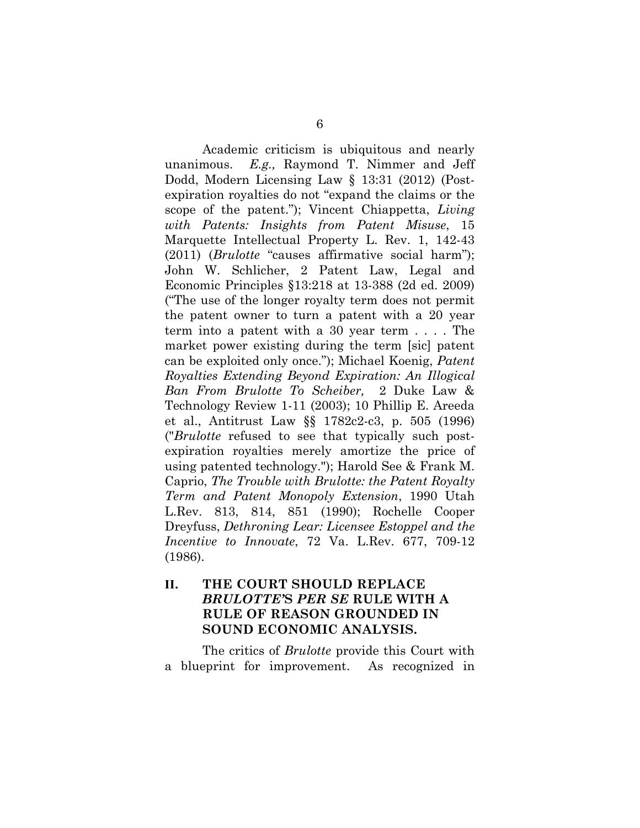Academic criticism is ubiquitous and nearly unanimous. *E.g.,* Raymond T. Nimmer and Jeff Dodd, Modern Licensing Law § 13:31 (2012) (Postexpiration royalties do not "expand the claims or the scope of the patent."); Vincent Chiappetta, *Living with Patents: Insights from Patent Misuse*, 15 Marquette Intellectual Property L. Rev. 1, 142-43 (2011) (*Brulotte* "causes affirmative social harm"); John W. Schlicher, 2 Patent Law, Legal and Economic Principles §13:218 at 13-388 (2d ed. 2009) ("The use of the longer royalty term does not permit the patent owner to turn a patent with a 20 year term into a patent with a 30 year term . . . . The market power existing during the term [sic] patent can be exploited only once."); Michael Koenig, *Patent Royalties Extending Beyond Expiration: An Illogical Ban From Brulotte To Scheiber,* 2 Duke Law & Technology Review 1-11 (2003); 10 Phillip E. Areeda et al., Antitrust Law §§ 1782c2-c3, p. 505 (1996) ("*Brulotte* refused to see that typically such postexpiration royalties merely amortize the price of using patented technology."); Harold See & Frank M. Caprio, *The Trouble with Brulotte: the Patent Royalty Term and Patent Monopoly Extension*, 1990 Utah L.Rev. 813, 814, 851 (1990); Rochelle Cooper Dreyfuss, *Dethroning Lear: Licensee Estoppel and the Incentive to Innovate*, 72 Va. L.Rev. 677, 709-12 (1986).

### **II. THE COURT SHOULD REPLACE**  *BRULOTTE'***S** *PER SE* **RULE WITH A RULE OF REASON GROUNDED IN SOUND ECONOMIC ANALYSIS.**

The critics of *Brulotte* provide this Court with a blueprint for improvement. As recognized in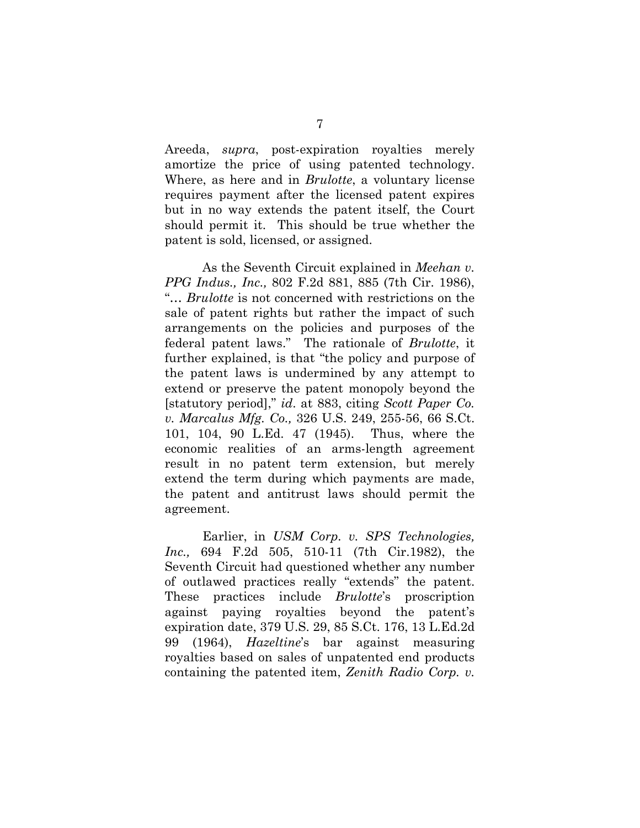Areeda, *supra*, post-expiration royalties merely amortize the price of using patented technology. Where, as here and in *Brulotte*, a voluntary license requires payment after the licensed patent expires but in no way extends the patent itself, the Court should permit it. This should be true whether the patent is sold, licensed, or assigned.

As the Seventh Circuit explained in *Meehan v. PPG Indus., Inc.,* 802 F.2d 881, 885 (7th Cir. 1986), "… *Brulotte* is not concerned with restrictions on the sale of patent rights but rather the impact of such arrangements on the policies and purposes of the federal patent laws." The rationale of *Brulotte*, it further explained, is that "the policy and purpose of the patent laws is undermined by any attempt to extend or preserve the patent monopoly beyond the [statutory period]," *id*. at 883, citing *Scott Paper Co. v. Marcalus Mfg. Co.,* 326 U.S. 249, 255-56, 66 S.Ct. 101, 104, 90 L.Ed. 47 (1945). Thus, where the economic realities of an arms-length agreement result in no patent term extension, but merely extend the term during which payments are made, the patent and antitrust laws should permit the agreement.

Earlier, in *USM Corp. v. SPS Technologies, Inc.,* 694 F.2d 505, 510-11 (7th Cir.1982), the Seventh Circuit had questioned whether any number of outlawed practices really "extends" the patent. These practices include *Brulotte*'s proscription against paying royalties beyond the patent's expiration date, 379 U.S. 29, 85 S.Ct. 176, 13 L.Ed.2d 99 (1964), *Hazeltine*'s bar against measuring royalties based on sales of unpatented end products containing the patented item, *Zenith Radio Corp. v.*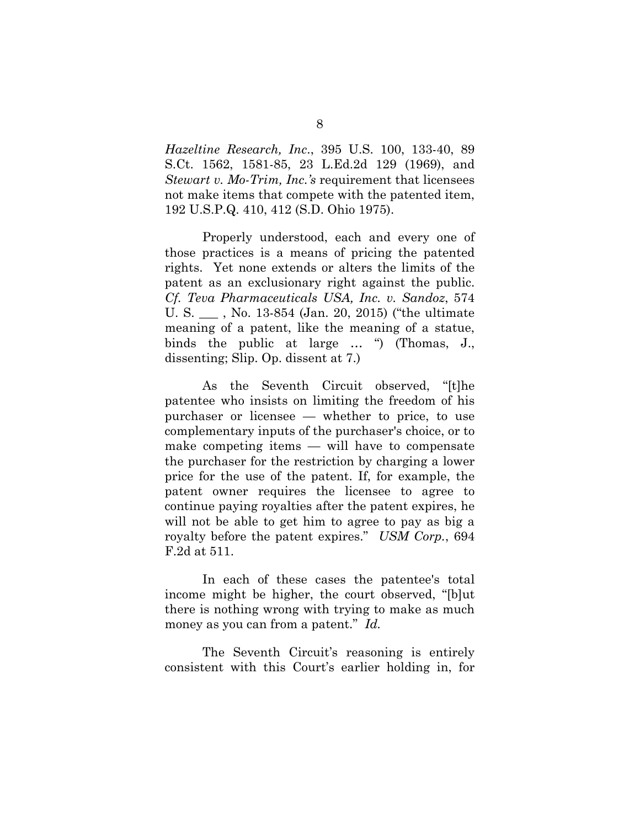*Hazeltine Research, Inc*., 395 U.S. 100, 133-40, 89 S.Ct. 1562, 1581-85, 23 L.Ed.2d 129 (1969), and *Stewart v. Mo-Trim, Inc.'s* requirement that licensees not make items that compete with the patented item, 192 U.S.P.Q. 410, 412 (S.D. Ohio 1975).

Properly understood, each and every one of those practices is a means of pricing the patented rights. Yet none extends or alters the limits of the patent as an exclusionary right against the public. *Cf. Teva Pharmaceuticals USA, Inc. v. Sandoz*, 574 U. S. \_\_\_ , No. 13-854 (Jan. 20, 2015) ("the ultimate meaning of a patent, like the meaning of a statue, binds the public at large … ") (Thomas, J., dissenting; Slip. Op. dissent at 7.)

As the Seventh Circuit observed, "[t]he patentee who insists on limiting the freedom of his purchaser or licensee — whether to price, to use complementary inputs of the purchaser's choice, or to make competing items — will have to compensate the purchaser for the restriction by charging a lower price for the use of the patent. If, for example, the patent owner requires the licensee to agree to continue paying royalties after the patent expires, he will not be able to get him to agree to pay as big a royalty before the patent expires." *USM Corp.*, 694 F.2d at 511.

In each of these cases the patentee's total income might be higher, the court observed, "[b]ut there is nothing wrong with trying to make as much money as you can from a patent." *Id.*

The Seventh Circuit's reasoning is entirely consistent with this Court's earlier holding in, for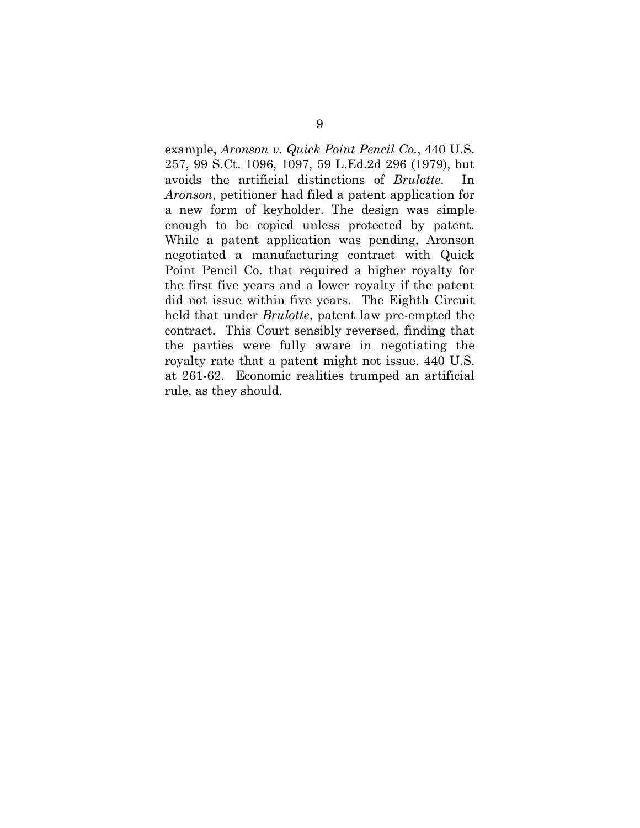example, *Aronson v. Quick Point Pencil Co.*, 440 U.S. 257, 99 S.Ct. 1096, 1097, 59 L.Ed.2d 296 (1979), but avoids the artificial distinctions of *Brulotte*. In *Aronson*, petitioner had filed a patent application for a new form of keyholder. The design was simple enough to be copied unless protected by patent. While a patent application was pending, Aronson negotiated a manufacturing contract with Quick Point Pencil Co. that required a higher royalty for the first five years and a lower royalty if the patent did not issue within five years. The Eighth Circuit held that under *Brulotte*, patent law pre-empted the contract. This Court sensibly reversed, finding that the parties were fully aware in negotiating the royalty rate that a patent might not issue. 440 U.S. at 261-62. Economic realities trumped an artificial rule, as they should.